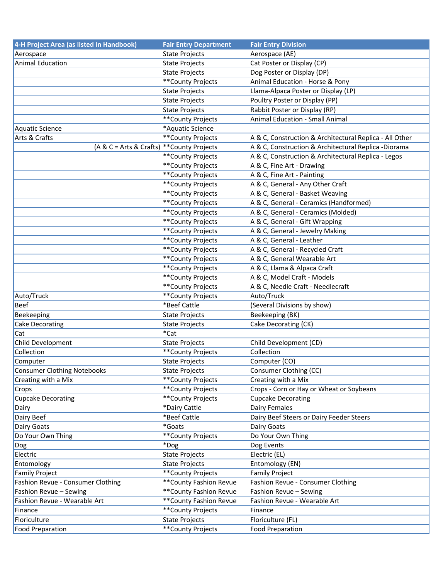| 4-H Project Area (as listed in Handbook)   | <b>Fair Entry Department</b> | <b>Fair Entry Division</b>                              |
|--------------------------------------------|------------------------------|---------------------------------------------------------|
| Aerospace                                  | <b>State Projects</b>        | Aerospace (AE)                                          |
| <b>Animal Education</b>                    | <b>State Projects</b>        | Cat Poster or Display (CP)                              |
|                                            | <b>State Projects</b>        | Dog Poster or Display (DP)                              |
|                                            | ** County Projects           | Animal Education - Horse & Pony                         |
|                                            | <b>State Projects</b>        | Llama-Alpaca Poster or Display (LP)                     |
|                                            | <b>State Projects</b>        | Poultry Poster or Display (PP)                          |
|                                            | <b>State Projects</b>        | Rabbit Poster or Display (RP)                           |
|                                            | ** County Projects           | <b>Animal Education - Small Animal</b>                  |
| Aquatic Science                            | *Aquatic Science             |                                                         |
| Arts & Crafts                              | ** County Projects           | A & C, Construction & Architectural Replica - All Other |
| (A & C = Arts & Crafts) ** County Projects |                              | A & C, Construction & Architectural Replica -Diorama    |
|                                            | ** County Projects           | A & C, Construction & Architectural Replica - Legos     |
|                                            | ** County Projects           | A & C, Fine Art - Drawing                               |
|                                            | ** County Projects           | A & C, Fine Art - Painting                              |
|                                            | ** County Projects           | A & C, General - Any Other Craft                        |
|                                            | ** County Projects           | A & C, General - Basket Weaving                         |
|                                            | ** County Projects           | A & C, General - Ceramics (Handformed)                  |
|                                            | ** County Projects           | A & C, General - Ceramics (Molded)                      |
|                                            | ** County Projects           | A & C, General - Gift Wrapping                          |
|                                            | ** County Projects           | A & C, General - Jewelry Making                         |
|                                            | ** County Projects           | A & C, General - Leather                                |
|                                            | ** County Projects           | A & C, General - Recycled Craft                         |
|                                            | ** County Projects           | A & C, General Wearable Art                             |
|                                            | ** County Projects           | A & C, Llama & Alpaca Craft                             |
|                                            | ** County Projects           | A & C, Model Craft - Models                             |
|                                            | **County Projects            | A & C, Needle Craft - Needlecraft                       |
| Auto/Truck                                 | ** County Projects           | Auto/Truck                                              |
| <b>Beef</b>                                | *Beef Cattle                 | (Several Divisions by show)                             |
| Beekeeping                                 | <b>State Projects</b>        | Beekeeping (BK)                                         |
| <b>Cake Decorating</b>                     | <b>State Projects</b>        | Cake Decorating (CK)                                    |
| Cat                                        | *Cat                         |                                                         |
| Child Development                          | State Projects               | Child Development (CD)                                  |
| Collection                                 | **County Projects            | Collection                                              |
| Computer                                   | <b>State Projects</b>        | Computer (CO)                                           |
| <b>Consumer Clothing Notebooks</b>         | <b>State Projects</b>        | Consumer Clothing (CC)                                  |
| Creating with a Mix                        | **County Projects            | Creating with a Mix                                     |
| Crops                                      | ** County Projects           | Crops - Corn or Hay or Wheat or Soybeans                |
| <b>Cupcake Decorating</b>                  | **County Projects            | <b>Cupcake Decorating</b>                               |
| Dairy                                      | *Dairy Cattle                | <b>Dairy Females</b>                                    |
| Dairy Beef                                 | *Beef Cattle                 | Dairy Beef Steers or Dairy Feeder Steers                |
| Dairy Goats                                | *Goats                       | Dairy Goats                                             |
| Do Your Own Thing                          | ** County Projects           | Do Your Own Thing                                       |
| Dog                                        | *Dog                         | Dog Events                                              |
| Electric                                   |                              |                                                         |
|                                            | <b>State Projects</b>        | Electric (EL)                                           |
| Entomology                                 | <b>State Projects</b>        | Entomology (EN)                                         |
| <b>Family Project</b>                      | ** County Projects           | <b>Family Project</b>                                   |
| Fashion Revue - Consumer Clothing          | ** County Fashion Revue      | Fashion Revue - Consumer Clothing                       |
| Fashion Revue - Sewing                     | ** County Fashion Revue      | Fashion Revue - Sewing                                  |
| Fashion Revue - Wearable Art               | ** County Fashion Revue      | Fashion Revue - Wearable Art                            |
| Finance                                    | **County Projects            | Finance                                                 |
| Floriculture                               | <b>State Projects</b>        | Floriculture (FL)                                       |
| <b>Food Preparation</b>                    | **County Projects            | <b>Food Preparation</b>                                 |